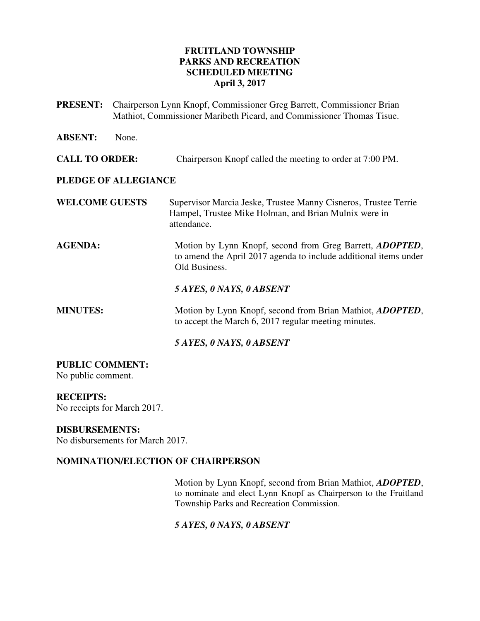## **FRUITLAND TOWNSHIP PARKS AND RECREATION SCHEDULED MEETING April 3, 2017**

| <b>PRESENT:</b>       |       | Chairperson Lynn Knopf, Commissioner Greg Barrett, Commissioner Brian<br>Mathiot, Commissioner Maribeth Picard, and Commissioner Thomas Tisue. |
|-----------------------|-------|------------------------------------------------------------------------------------------------------------------------------------------------|
| <b>ABSENT:</b>        | None. |                                                                                                                                                |
| <b>CALL TO ORDER:</b> |       | Chairperson Knopf called the meeting to order at 7:00 PM.                                                                                      |
| PLEDGE OF ALLEGIANCE  |       |                                                                                                                                                |
| <b>WELCOME GUESTS</b> |       | Supervisor Marcia Jeske, Trustee Manny Cisneros, Trustee Terrie<br>Hampel, Trustee Mike Holman, and Brian Mulnix were in<br>attendance.        |
| <b>AGENDA:</b>        |       | Motion by Lynn Knopf, second from Greg Barrett, ADOPTED,<br>to amend the April 2017 agenda to include additional items under<br>Old Business.  |
|                       |       | 5 AYES, 0 NAYS, 0 ABSENT                                                                                                                       |
| <b>MINUTES:</b>       |       | Motion by Lynn Knopf, second from Brian Mathiot, ADOPTED,<br>to accept the March 6, 2017 regular meeting minutes.                              |
|                       |       | 5 AYES, 0 NAYS, 0 ABSENT                                                                                                                       |

# **PUBLIC COMMENT:**

No public comment.

## **RECEIPTS:**

No receipts for March 2017.

## **DISBURSEMENTS:**

No disbursements for March 2017.

## **NOMINATION/ELECTION OF CHAIRPERSON**

Motion by Lynn Knopf, second from Brian Mathiot, *ADOPTED*, to nominate and elect Lynn Knopf as Chairperson to the Fruitland Township Parks and Recreation Commission.

# *5 AYES, 0 NAYS, 0 ABSENT*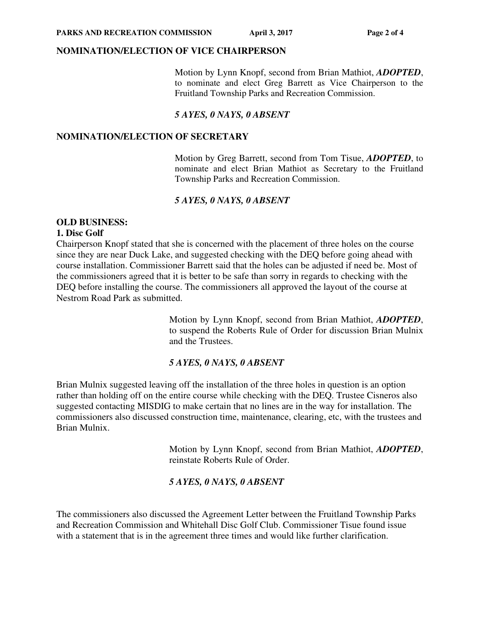#### **NOMINATION/ELECTION OF VICE CHAIRPERSON**

Motion by Lynn Knopf, second from Brian Mathiot, *ADOPTED*, to nominate and elect Greg Barrett as Vice Chairperson to the Fruitland Township Parks and Recreation Commission.

#### *5 AYES, 0 NAYS, 0 ABSENT*

#### **NOMINATION/ELECTION OF SECRETARY**

Motion by Greg Barrett, second from Tom Tisue, *ADOPTED*, to nominate and elect Brian Mathiot as Secretary to the Fruitland Township Parks and Recreation Commission.

## *5 AYES, 0 NAYS, 0 ABSENT*

#### **OLD BUSINESS: 1. Disc Golf**

Chairperson Knopf stated that she is concerned with the placement of three holes on the course since they are near Duck Lake, and suggested checking with the DEQ before going ahead with course installation. Commissioner Barrett said that the holes can be adjusted if need be. Most of the commissioners agreed that it is better to be safe than sorry in regards to checking with the DEQ before installing the course. The commissioners all approved the layout of the course at Nestrom Road Park as submitted.

> Motion by Lynn Knopf, second from Brian Mathiot, *ADOPTED*, to suspend the Roberts Rule of Order for discussion Brian Mulnix and the Trustees.

## *5 AYES, 0 NAYS, 0 ABSENT*

Brian Mulnix suggested leaving off the installation of the three holes in question is an option rather than holding off on the entire course while checking with the DEQ. Trustee Cisneros also suggested contacting MISDIG to make certain that no lines are in the way for installation. The commissioners also discussed construction time, maintenance, clearing, etc, with the trustees and Brian Mulnix.

> Motion by Lynn Knopf, second from Brian Mathiot, *ADOPTED*, reinstate Roberts Rule of Order.

## *5 AYES, 0 NAYS, 0 ABSENT*

The commissioners also discussed the Agreement Letter between the Fruitland Township Parks and Recreation Commission and Whitehall Disc Golf Club. Commissioner Tisue found issue with a statement that is in the agreement three times and would like further clarification.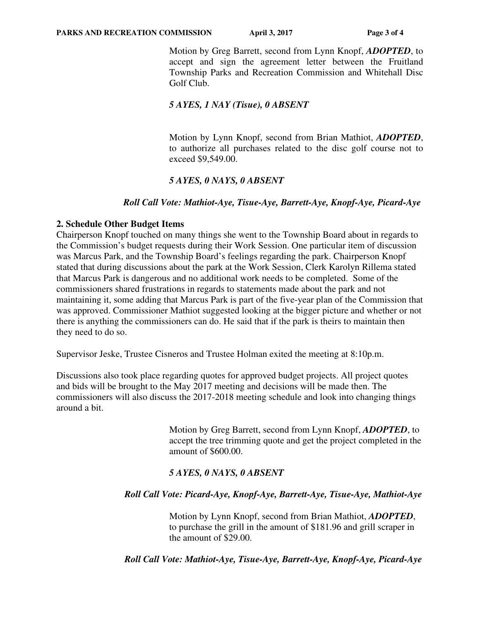Motion by Greg Barrett, second from Lynn Knopf, *ADOPTED*, to accept and sign the agreement letter between the Fruitland Township Parks and Recreation Commission and Whitehall Disc Golf Club.

## *5 AYES, 1 NAY (Tisue), 0 ABSENT*

Motion by Lynn Knopf, second from Brian Mathiot, *ADOPTED*, to authorize all purchases related to the disc golf course not to exceed \$9,549.00.

# *5 AYES, 0 NAYS, 0 ABSENT*

## *Roll Call Vote: Mathiot-Aye, Tisue-Aye, Barrett-Aye, Knopf-Aye, Picard-Aye*

## **2. Schedule Other Budget Items**

Chairperson Knopf touched on many things she went to the Township Board about in regards to the Commission's budget requests during their Work Session. One particular item of discussion was Marcus Park, and the Township Board's feelings regarding the park. Chairperson Knopf stated that during discussions about the park at the Work Session, Clerk Karolyn Rillema stated that Marcus Park is dangerous and no additional work needs to be completed. Some of the commissioners shared frustrations in regards to statements made about the park and not maintaining it, some adding that Marcus Park is part of the five-year plan of the Commission that was approved. Commissioner Mathiot suggested looking at the bigger picture and whether or not there is anything the commissioners can do. He said that if the park is theirs to maintain then they need to do so.

Supervisor Jeske, Trustee Cisneros and Trustee Holman exited the meeting at 8:10p.m.

Discussions also took place regarding quotes for approved budget projects. All project quotes and bids will be brought to the May 2017 meeting and decisions will be made then. The commissioners will also discuss the 2017-2018 meeting schedule and look into changing things around a bit.

> Motion by Greg Barrett, second from Lynn Knopf, *ADOPTED*, to accept the tree trimming quote and get the project completed in the amount of \$600.00.

# *5 AYES, 0 NAYS, 0 ABSENT*

## *Roll Call Vote: Picard-Aye, Knopf-Aye, Barrett-Aye, Tisue-Aye, Mathiot-Aye*

Motion by Lynn Knopf, second from Brian Mathiot, *ADOPTED*, to purchase the grill in the amount of \$181.96 and grill scraper in the amount of \$29.00.

 *Roll Call Vote: Mathiot-Aye, Tisue-Aye, Barrett-Aye, Knopf-Aye, Picard-Aye*